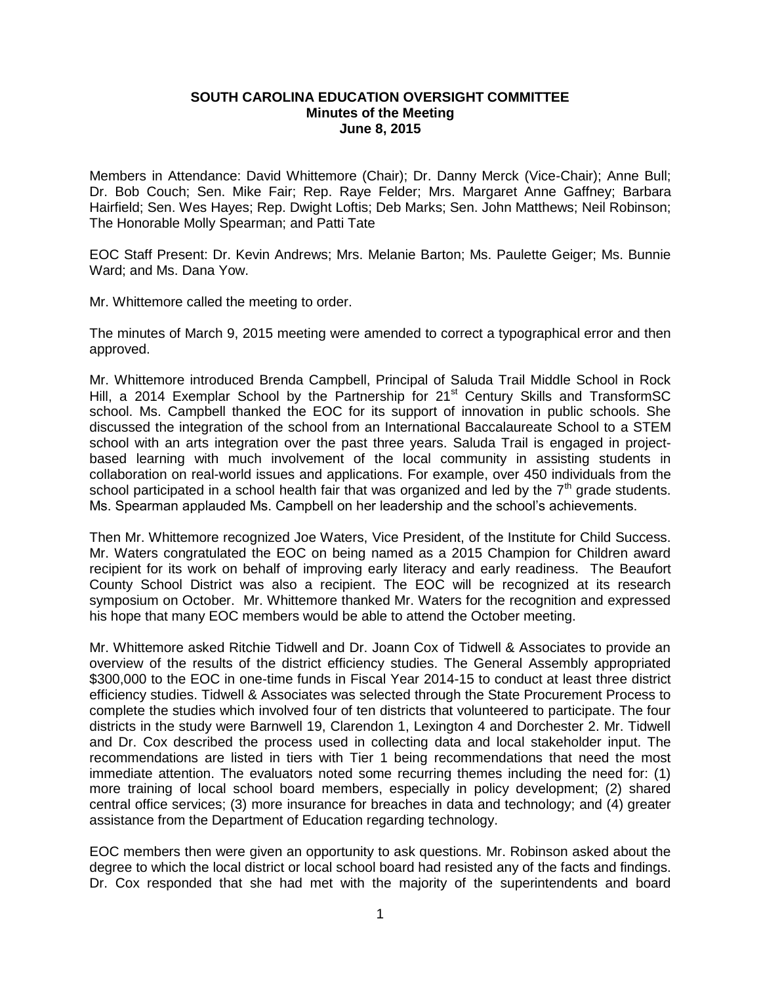## **SOUTH CAROLINA EDUCATION OVERSIGHT COMMITTEE Minutes of the Meeting June 8, 2015**

Members in Attendance: David Whittemore (Chair); Dr. Danny Merck (Vice-Chair); Anne Bull; Dr. Bob Couch; Sen. Mike Fair; Rep. Raye Felder; Mrs. Margaret Anne Gaffney; Barbara Hairfield; Sen. Wes Hayes; Rep. Dwight Loftis; Deb Marks; Sen. John Matthews; Neil Robinson; The Honorable Molly Spearman; and Patti Tate

EOC Staff Present: Dr. Kevin Andrews; Mrs. Melanie Barton; Ms. Paulette Geiger; Ms. Bunnie Ward; and Ms. Dana Yow.

Mr. Whittemore called the meeting to order.

The minutes of March 9, 2015 meeting were amended to correct a typographical error and then approved.

Mr. Whittemore introduced Brenda Campbell, Principal of Saluda Trail Middle School in Rock Hill, a 2014 Exemplar School by the Partnership for 21<sup>st</sup> Century Skills and TransformSC school. Ms. Campbell thanked the EOC for its support of innovation in public schools. She discussed the integration of the school from an International Baccalaureate School to a STEM school with an arts integration over the past three years. Saluda Trail is engaged in projectbased learning with much involvement of the local community in assisting students in collaboration on real-world issues and applications. For example, over 450 individuals from the school participated in a school health fair that was organized and led by the  $7<sup>th</sup>$  grade students. Ms. Spearman applauded Ms. Campbell on her leadership and the school's achievements.

Then Mr. Whittemore recognized Joe Waters, Vice President, of the Institute for Child Success. Mr. Waters congratulated the EOC on being named as a 2015 Champion for Children award recipient for its work on behalf of improving early literacy and early readiness. The Beaufort County School District was also a recipient. The EOC will be recognized at its research symposium on October. Mr. Whittemore thanked Mr. Waters for the recognition and expressed his hope that many EOC members would be able to attend the October meeting.

Mr. Whittemore asked Ritchie Tidwell and Dr. Joann Cox of Tidwell & Associates to provide an overview of the results of the district efficiency studies. The General Assembly appropriated \$300,000 to the EOC in one-time funds in Fiscal Year 2014-15 to conduct at least three district efficiency studies. Tidwell & Associates was selected through the State Procurement Process to complete the studies which involved four of ten districts that volunteered to participate. The four districts in the study were Barnwell 19, Clarendon 1, Lexington 4 and Dorchester 2. Mr. Tidwell and Dr. Cox described the process used in collecting data and local stakeholder input. The recommendations are listed in tiers with Tier 1 being recommendations that need the most immediate attention. The evaluators noted some recurring themes including the need for: (1) more training of local school board members, especially in policy development; (2) shared central office services; (3) more insurance for breaches in data and technology; and (4) greater assistance from the Department of Education regarding technology.

EOC members then were given an opportunity to ask questions. Mr. Robinson asked about the degree to which the local district or local school board had resisted any of the facts and findings. Dr. Cox responded that she had met with the majority of the superintendents and board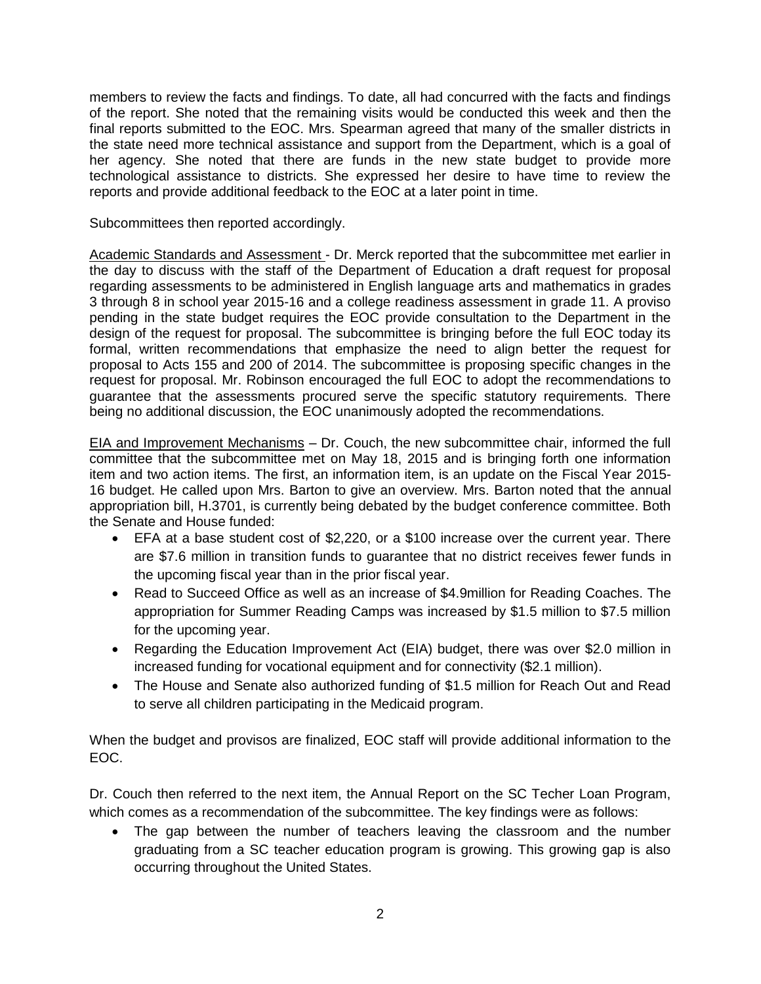members to review the facts and findings. To date, all had concurred with the facts and findings of the report. She noted that the remaining visits would be conducted this week and then the final reports submitted to the EOC. Mrs. Spearman agreed that many of the smaller districts in the state need more technical assistance and support from the Department, which is a goal of her agency. She noted that there are funds in the new state budget to provide more technological assistance to districts. She expressed her desire to have time to review the reports and provide additional feedback to the EOC at a later point in time.

Subcommittees then reported accordingly.

Academic Standards and Assessment - Dr. Merck reported that the subcommittee met earlier in the day to discuss with the staff of the Department of Education a draft request for proposal regarding assessments to be administered in English language arts and mathematics in grades 3 through 8 in school year 2015-16 and a college readiness assessment in grade 11. A proviso pending in the state budget requires the EOC provide consultation to the Department in the design of the request for proposal. The subcommittee is bringing before the full EOC today its formal, written recommendations that emphasize the need to align better the request for proposal to Acts 155 and 200 of 2014. The subcommittee is proposing specific changes in the request for proposal. Mr. Robinson encouraged the full EOC to adopt the recommendations to guarantee that the assessments procured serve the specific statutory requirements. There being no additional discussion, the EOC unanimously adopted the recommendations.

EIA and Improvement Mechanisms – Dr. Couch, the new subcommittee chair, informed the full committee that the subcommittee met on May 18, 2015 and is bringing forth one information item and two action items. The first, an information item, is an update on the Fiscal Year 2015- 16 budget. He called upon Mrs. Barton to give an overview. Mrs. Barton noted that the annual appropriation bill, H.3701, is currently being debated by the budget conference committee. Both the Senate and House funded:

- EFA at a base student cost of \$2,220, or a \$100 increase over the current year. There are \$7.6 million in transition funds to guarantee that no district receives fewer funds in the upcoming fiscal year than in the prior fiscal year.
- Read to Succeed Office as well as an increase of \$4.9million for Reading Coaches. The appropriation for Summer Reading Camps was increased by \$1.5 million to \$7.5 million for the upcoming year.
- Regarding the Education Improvement Act (EIA) budget, there was over \$2.0 million in increased funding for vocational equipment and for connectivity (\$2.1 million).
- The House and Senate also authorized funding of \$1.5 million for Reach Out and Read to serve all children participating in the Medicaid program.

When the budget and provisos are finalized, EOC staff will provide additional information to the EOC.

Dr. Couch then referred to the next item, the Annual Report on the SC Techer Loan Program, which comes as a recommendation of the subcommittee. The key findings were as follows:

 The gap between the number of teachers leaving the classroom and the number graduating from a SC teacher education program is growing. This growing gap is also occurring throughout the United States.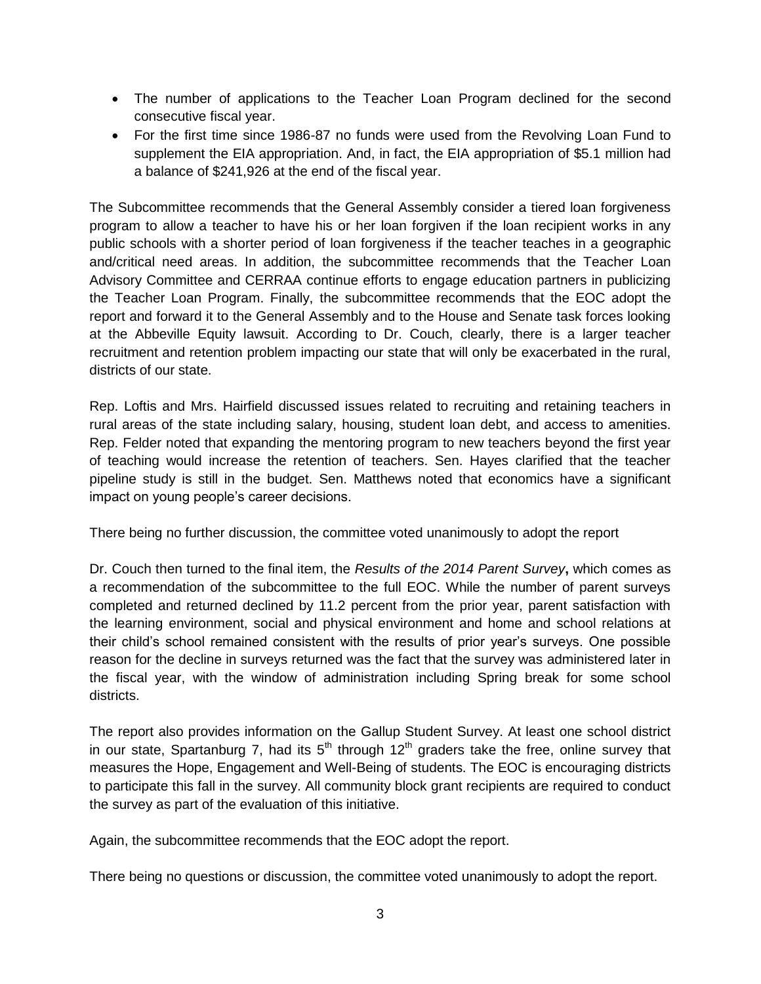- The number of applications to the Teacher Loan Program declined for the second consecutive fiscal year.
- For the first time since 1986-87 no funds were used from the Revolving Loan Fund to supplement the EIA appropriation. And, in fact, the EIA appropriation of \$5.1 million had a balance of \$241,926 at the end of the fiscal year.

The Subcommittee recommends that the General Assembly consider a tiered loan forgiveness program to allow a teacher to have his or her loan forgiven if the loan recipient works in any public schools with a shorter period of loan forgiveness if the teacher teaches in a geographic and/critical need areas. In addition, the subcommittee recommends that the Teacher Loan Advisory Committee and CERRAA continue efforts to engage education partners in publicizing the Teacher Loan Program. Finally, the subcommittee recommends that the EOC adopt the report and forward it to the General Assembly and to the House and Senate task forces looking at the Abbeville Equity lawsuit. According to Dr. Couch, clearly, there is a larger teacher recruitment and retention problem impacting our state that will only be exacerbated in the rural, districts of our state.

Rep. Loftis and Mrs. Hairfield discussed issues related to recruiting and retaining teachers in rural areas of the state including salary, housing, student loan debt, and access to amenities. Rep. Felder noted that expanding the mentoring program to new teachers beyond the first year of teaching would increase the retention of teachers. Sen. Hayes clarified that the teacher pipeline study is still in the budget. Sen. Matthews noted that economics have a significant impact on young people's career decisions.

There being no further discussion, the committee voted unanimously to adopt the report

Dr. Couch then turned to the final item, the *Results of the 2014 Parent Survey***,** which comes as a recommendation of the subcommittee to the full EOC. While the number of parent surveys completed and returned declined by 11.2 percent from the prior year, parent satisfaction with the learning environment, social and physical environment and home and school relations at their child's school remained consistent with the results of prior year's surveys. One possible reason for the decline in surveys returned was the fact that the survey was administered later in the fiscal year, with the window of administration including Spring break for some school districts.

The report also provides information on the Gallup Student Survey. At least one school district in our state, Spartanburg 7, had its  $5<sup>th</sup>$  through 12<sup>th</sup> graders take the free, online survey that measures the Hope, Engagement and Well-Being of students. The EOC is encouraging districts to participate this fall in the survey. All community block grant recipients are required to conduct the survey as part of the evaluation of this initiative.

Again, the subcommittee recommends that the EOC adopt the report.

There being no questions or discussion, the committee voted unanimously to adopt the report.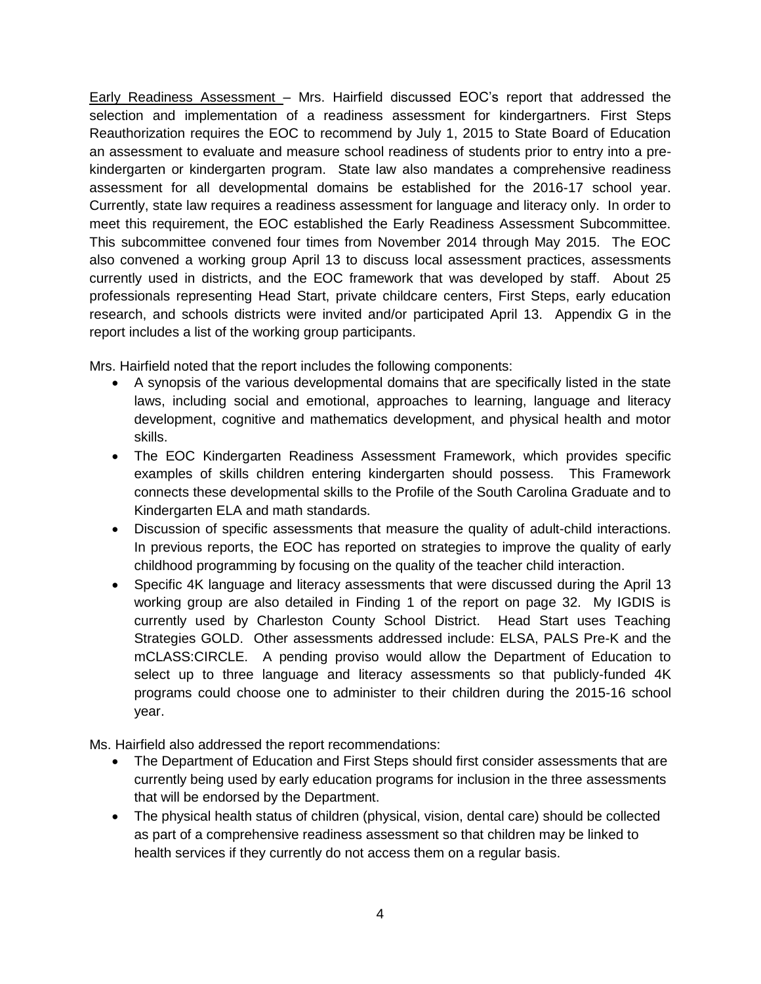Early Readiness Assessment – Mrs. Hairfield discussed EOC's report that addressed the selection and implementation of a readiness assessment for kindergartners. First Steps Reauthorization requires the EOC to recommend by July 1, 2015 to State Board of Education an assessment to evaluate and measure school readiness of students prior to entry into a prekindergarten or kindergarten program. State law also mandates a comprehensive readiness assessment for all developmental domains be established for the 2016-17 school year. Currently, state law requires a readiness assessment for language and literacy only. In order to meet this requirement, the EOC established the Early Readiness Assessment Subcommittee. This subcommittee convened four times from November 2014 through May 2015. The EOC also convened a working group April 13 to discuss local assessment practices, assessments currently used in districts, and the EOC framework that was developed by staff. About 25 professionals representing Head Start, private childcare centers, First Steps, early education research, and schools districts were invited and/or participated April 13. Appendix G in the report includes a list of the working group participants.

Mrs. Hairfield noted that the report includes the following components:

- A synopsis of the various developmental domains that are specifically listed in the state laws, including social and emotional, approaches to learning, language and literacy development, cognitive and mathematics development, and physical health and motor skills.
- The EOC Kindergarten Readiness Assessment Framework, which provides specific examples of skills children entering kindergarten should possess. This Framework connects these developmental skills to the Profile of the South Carolina Graduate and to Kindergarten ELA and math standards.
- Discussion of specific assessments that measure the quality of adult-child interactions. In previous reports, the EOC has reported on strategies to improve the quality of early childhood programming by focusing on the quality of the teacher child interaction.
- Specific 4K language and literacy assessments that were discussed during the April 13 working group are also detailed in Finding 1 of the report on page 32. My IGDIS is currently used by Charleston County School District. Head Start uses Teaching Strategies GOLD. Other assessments addressed include: ELSA, PALS Pre-K and the mCLASS:CIRCLE. A pending proviso would allow the Department of Education to select up to three language and literacy assessments so that publicly-funded 4K programs could choose one to administer to their children during the 2015-16 school year.

Ms. Hairfield also addressed the report recommendations:

- The Department of Education and First Steps should first consider assessments that are currently being used by early education programs for inclusion in the three assessments that will be endorsed by the Department.
- The physical health status of children (physical, vision, dental care) should be collected as part of a comprehensive readiness assessment so that children may be linked to health services if they currently do not access them on a regular basis.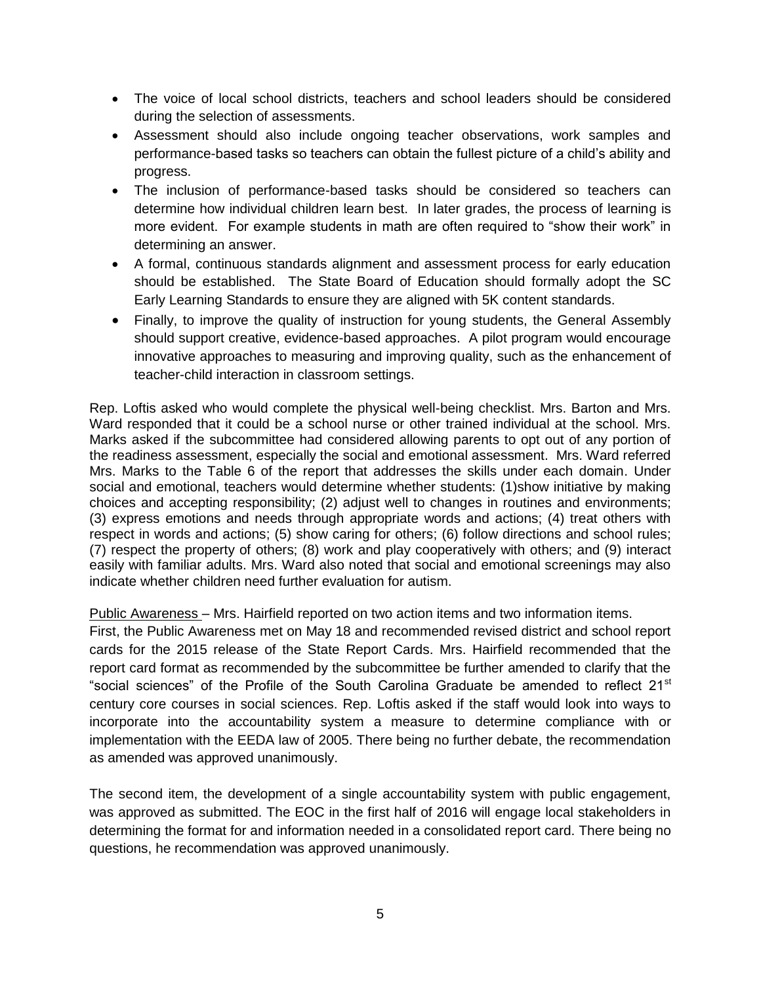- The voice of local school districts, teachers and school leaders should be considered during the selection of assessments.
- Assessment should also include ongoing teacher observations, work samples and performance-based tasks so teachers can obtain the fullest picture of a child's ability and progress.
- The inclusion of performance-based tasks should be considered so teachers can determine how individual children learn best. In later grades, the process of learning is more evident. For example students in math are often required to "show their work" in determining an answer.
- A formal, continuous standards alignment and assessment process for early education should be established. The State Board of Education should formally adopt the SC Early Learning Standards to ensure they are aligned with 5K content standards.
- Finally, to improve the quality of instruction for young students, the General Assembly should support creative, evidence-based approaches. A pilot program would encourage innovative approaches to measuring and improving quality, such as the enhancement of teacher-child interaction in classroom settings.

Rep. Loftis asked who would complete the physical well-being checklist. Mrs. Barton and Mrs. Ward responded that it could be a school nurse or other trained individual at the school. Mrs. Marks asked if the subcommittee had considered allowing parents to opt out of any portion of the readiness assessment, especially the social and emotional assessment. Mrs. Ward referred Mrs. Marks to the Table 6 of the report that addresses the skills under each domain. Under social and emotional, teachers would determine whether students: (1)show initiative by making choices and accepting responsibility; (2) adjust well to changes in routines and environments; (3) express emotions and needs through appropriate words and actions; (4) treat others with respect in words and actions; (5) show caring for others; (6) follow directions and school rules; (7) respect the property of others; (8) work and play cooperatively with others; and (9) interact easily with familiar adults. Mrs. Ward also noted that social and emotional screenings may also indicate whether children need further evaluation for autism.

Public Awareness – Mrs. Hairfield reported on two action items and two information items.

First, the Public Awareness met on May 18 and recommended revised district and school report cards for the 2015 release of the State Report Cards. Mrs. Hairfield recommended that the report card format as recommended by the subcommittee be further amended to clarify that the "social sciences" of the Profile of the South Carolina Graduate be amended to reflect  $21<sup>st</sup>$ century core courses in social sciences. Rep. Loftis asked if the staff would look into ways to incorporate into the accountability system a measure to determine compliance with or implementation with the EEDA law of 2005. There being no further debate, the recommendation as amended was approved unanimously.

The second item, the development of a single accountability system with public engagement, was approved as submitted. The EOC in the first half of 2016 will engage local stakeholders in determining the format for and information needed in a consolidated report card. There being no questions, he recommendation was approved unanimously.